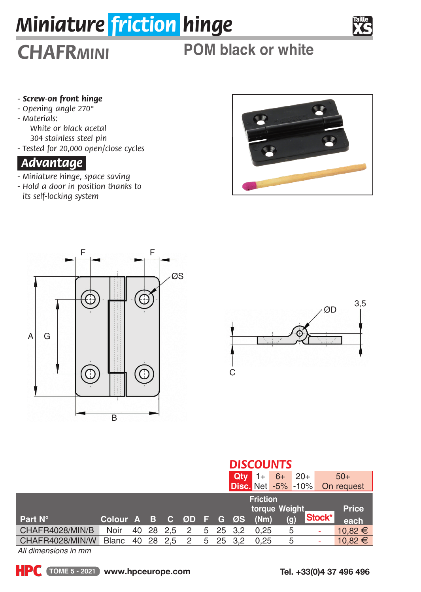# *Miniature friction hinge*

# *CHAFRmini* **POM black or white**

### *- Screw-on front hinge*

- *Opening angle 270°*
- *Materials:*
	- *White or black acetal*
	- *304 stainless steel pin*
- *Tested for 20,000 open/close cycles*

# *Advantage.*

- *Miniature hinge, space saving*
- *Hold a door in position thanks to its self-locking system*







|                 |                        |  |             |  | <b>DISCOUNTS</b>        |               |      |                           |        |             |  |  |  |
|-----------------|------------------------|--|-------------|--|-------------------------|---------------|------|---------------------------|--------|-------------|--|--|--|
|                 |                        |  |             |  | Qtv                     |               | $6+$ | $20+$                     | $50+$  |             |  |  |  |
|                 |                        |  |             |  |                         |               |      | <b>Disc.</b> Net -5% -10% |        | On request  |  |  |  |
|                 |                        |  |             |  | <b>Friction</b>         |               |      |                           |        |             |  |  |  |
|                 |                        |  |             |  | torque Weight.<br>Price |               |      |                           |        |             |  |  |  |
| Part N°         | Colour A B C ØD F G ØS |  |             |  |                         | (Nm)          |      | (q)                       | Stock* | each        |  |  |  |
| CHAFR4028/MIN/B | Noir                   |  | 40 28 2.5 2 |  |                         | 5 25 3.2 0.25 | 5    |                           | ۰      | $10.82 \in$ |  |  |  |
| CHAFR4028/MIN/W | Blanc                  |  | 40 28 2.5 2 |  | 5 25 3.2                | 0.25          |      | 5                         | ۰      | $10,82 \in$ |  |  |  |

*All dimensions in mm*